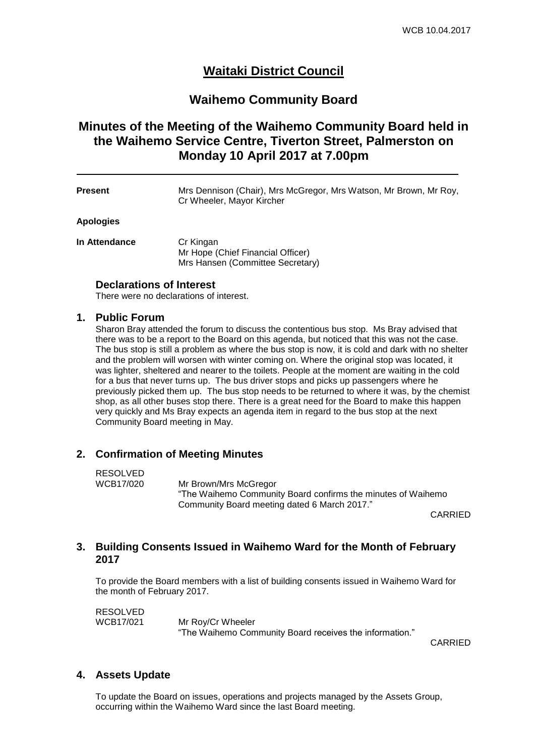# **Waitaki District Council**

## **Waihemo Community Board**

# **Minutes of the Meeting of the Waihemo Community Board held in the Waihemo Service Centre, Tiverton Street, Palmerston on Monday 10 April 2017 at 7.00pm**

**Present** Mrs Dennison (Chair), Mrs McGregor, Mrs Watson, Mr Brown, Mr Roy, Cr Wheeler, Mayor Kircher

#### **Apologies**

**In Attendance Cr Kingan** Mr Hope (Chief Financial Officer) Mrs Hansen (Committee Secretary)

#### **Declarations of Interest**

There were no declarations of interest.

#### **1. Public Forum**

Sharon Bray attended the forum to discuss the contentious bus stop. Ms Bray advised that there was to be a report to the Board on this agenda, but noticed that this was not the case. The bus stop is still a problem as where the bus stop is now, it is cold and dark with no shelter and the problem will worsen with winter coming on. Where the original stop was located, it was lighter, sheltered and nearer to the toilets. People at the moment are waiting in the cold for a bus that never turns up. The bus driver stops and picks up passengers where he previously picked them up. The bus stop needs to be returned to where it was, by the chemist shop, as all other buses stop there. There is a great need for the Board to make this happen very quickly and Ms Bray expects an agenda item in regard to the bus stop at the next Community Board meeting in May.

## **2. Confirmation of Meeting Minutes**

# RESOLVED<br>WCB17/020

Mr Brown/Mrs McGregor "The Waihemo Community Board confirms the minutes of Waihemo Community Board meeting dated 6 March 2017."

CARRIED

## **3. Building Consents Issued in Waihemo Ward for the Month of February 2017**

To provide the Board members with a list of building consents issued in Waihemo Ward for the month of February 2017.

RESOLVED WCB17/021 Mr Roy/Cr Wheeler "The Waihemo Community Board receives the information."

CARRIED

## **4. Assets Update**

To update the Board on issues, operations and projects managed by the Assets Group, occurring within the Waihemo Ward since the last Board meeting.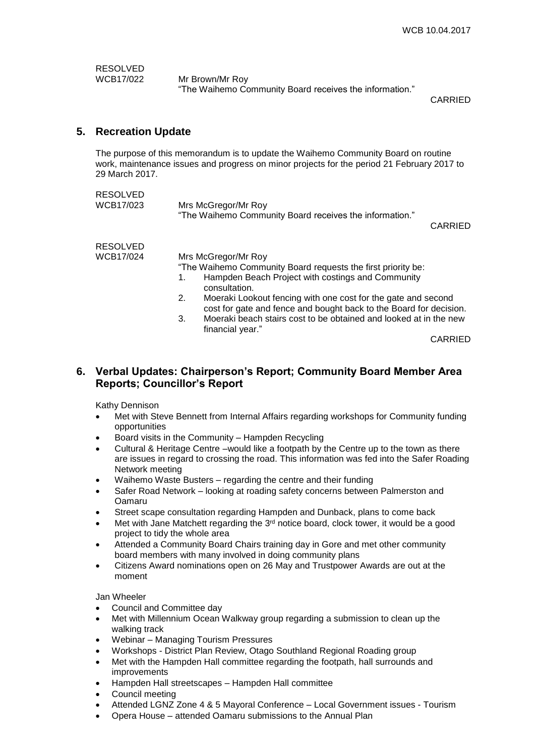RESOLVED<br>WCB17/022

Mr Brown/Mr Roy "The Waihemo Community Board receives the information."

CARRIED

## **5. Recreation Update**

The purpose of this memorandum is to update the Waihemo Community Board on routine work, maintenance issues and progress on minor projects for the period 21 February 2017 to 29 March 2017.

| <b>RESOLVED</b><br>WCB17/023 | Mrs McGregor/Mr Roy<br>"The Waihemo Community Board receives the information."<br><b>CARRIED</b>                                          |
|------------------------------|-------------------------------------------------------------------------------------------------------------------------------------------|
| <b>RESOLVED</b>              |                                                                                                                                           |
| WCB17/024                    | Mrs McGregor/Mr Roy                                                                                                                       |
|                              | "The Waihemo Community Board requests the first priority be:                                                                              |
|                              | Hampden Beach Project with costings and Community<br>1.<br>consultation.                                                                  |
|                              | Moeraki Lookout fencing with one cost for the gate and second<br>2.<br>cost for gate and fence and bought back to the Board for decision. |
|                              | Moeraki beach stairs cost to be obtained and looked at in the new<br>3.<br>financial year."                                               |

CARRIED

## **6. Verbal Updates: Chairperson's Report; Community Board Member Area Reports; Councillor's Report**

Kathy Dennison

- Met with Steve Bennett from Internal Affairs regarding workshops for Community funding opportunities
- Board visits in the Community Hampden Recycling
- Cultural & Heritage Centre –would like a footpath by the Centre up to the town as there are issues in regard to crossing the road. This information was fed into the Safer Roading Network meeting
- Waihemo Waste Busters regarding the centre and their funding
- Safer Road Network looking at roading safety concerns between Palmerston and Oamaru
- Street scape consultation regarding Hampden and Dunback, plans to come back
- $\bullet$  Met with Jane Matchett regarding the 3<sup>rd</sup> notice board, clock tower, it would be a good project to tidy the whole area
- Attended a Community Board Chairs training day in Gore and met other community board members with many involved in doing community plans
- Citizens Award nominations open on 26 May and Trustpower Awards are out at the moment

Jan Wheeler

- Council and Committee day
- Met with Millennium Ocean Walkway group regarding a submission to clean up the walking track
- Webinar Managing Tourism Pressures
- Workshops District Plan Review, Otago Southland Regional Roading group
- Met with the Hampden Hall committee regarding the footpath, hall surrounds and improvements
- Hampden Hall streetscapes Hampden Hall committee
- Council meeting
- Attended LGNZ Zone 4 & 5 Mayoral Conference Local Government issues Tourism
- Opera House attended Oamaru submissions to the Annual Plan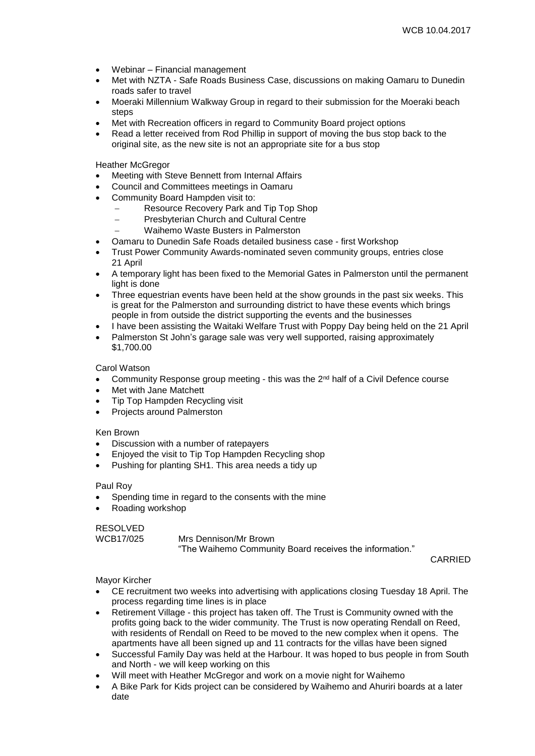- Webinar Financial management
- Met with NZTA Safe Roads Business Case, discussions on making Oamaru to Dunedin roads safer to travel
- Moeraki Millennium Walkway Group in regard to their submission for the Moeraki beach steps
- Met with Recreation officers in regard to Community Board project options
- Read a letter received from Rod Phillip in support of moving the bus stop back to the original site, as the new site is not an appropriate site for a bus stop

Heather McGregor

- Meeting with Steve Bennett from Internal Affairs
- Council and Committees meetings in Oamaru
- Community Board Hampden visit to:
	- Resource Recovery Park and Tip Top Shop
	- Presbyterian Church and Cultural Centre
	- Waihemo Waste Busters in Palmerston
- Oamaru to Dunedin Safe Roads detailed business case first Workshop
- Trust Power Community Awards-nominated seven community groups, entries close 21 April
- A temporary light has been fixed to the Memorial Gates in Palmerston until the permanent light is done
- Three equestrian events have been held at the show grounds in the past six weeks. This is great for the Palmerston and surrounding district to have these events which brings people in from outside the district supporting the events and the businesses
- I have been assisting the Waitaki Welfare Trust with Poppy Day being held on the 21 April
- Palmerston St John's garage sale was very well supported, raising approximately \$1,700.00

Carol Watson

- Community Response group meeting this was the 2<sup>nd</sup> half of a Civil Defence course
- Met with Jane Matchett
- Tip Top Hampden Recycling visit
- Projects around Palmerston

#### Ken Brown

- Discussion with a number of ratepayers
- Enjoyed the visit to Tip Top Hampden Recycling shop
- Pushing for planting SH1. This area needs a tidy up

#### Paul Roy

- Spending time in regard to the consents with the mine
- Roading workshop

#### RESOLVED

WCB17/025 Mrs Dennison/Mr Brown "The Waihemo Community Board receives the information."

CARRIED

#### Mayor Kircher

- CE recruitment two weeks into advertising with applications closing Tuesday 18 April. The process regarding time lines is in place
- Retirement Village this project has taken off. The Trust is Community owned with the profits going back to the wider community. The Trust is now operating Rendall on Reed, with residents of Rendall on Reed to be moved to the new complex when it opens. The apartments have all been signed up and 11 contracts for the villas have been signed
- Successful Family Day was held at the Harbour. It was hoped to bus people in from South and North - we will keep working on this
- Will meet with Heather McGregor and work on a movie night for Waihemo
- A Bike Park for Kids project can be considered by Waihemo and Ahuriri boards at a later date